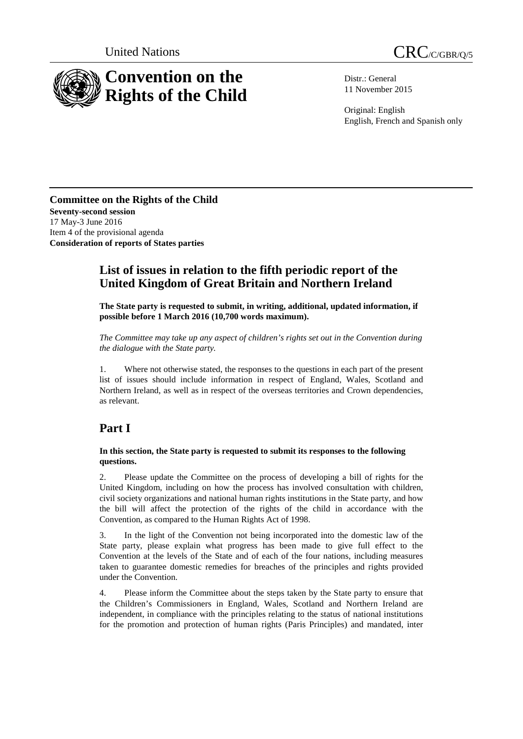



Distr.: General 11 November 2015

Original: English English, French and Spanish only

**Committee on the Rights of the Child Seventy-second session** 17 May-3 June 2016 Item 4 of the provisional agenda **Consideration of reports of States parties**

# **List of issues in relation to the fifth periodic report of the United Kingdom of Great Britain and Northern Ireland**

**The State party is requested to submit, in writing, additional, updated information, if possible before 1 March 2016 (10,700 words maximum).**

*The Committee may take up any aspect of children's rights set out in the Convention during the dialogue with the State party.*

1. Where not otherwise stated, the responses to the questions in each part of the present list of issues should include information in respect of England, Wales, Scotland and Northern Ireland, as well as in respect of the overseas territories and Crown dependencies, as relevant.

# **Part I**

#### **In this section, the State party is requested to submit its responses to the following questions.**

2. Please update the Committee on the process of developing a bill of rights for the United Kingdom, including on how the process has involved consultation with children, civil society organizations and national human rights institutions in the State party, and how the bill will affect the protection of the rights of the child in accordance with the Convention, as compared to the Human Rights Act of 1998.

3. In the light of the Convention not being incorporated into the domestic law of the State party, please explain what progress has been made to give full effect to the Convention at the levels of the State and of each of the four nations, including measures taken to guarantee domestic remedies for breaches of the principles and rights provided under the Convention.

4. Please inform the Committee about the steps taken by the State party to ensure that the Children's Commissioners in England, Wales, Scotland and Northern Ireland are independent, in compliance with the principles relating to the status of national institutions for the promotion and protection of human rights (Paris Principles) and mandated, inter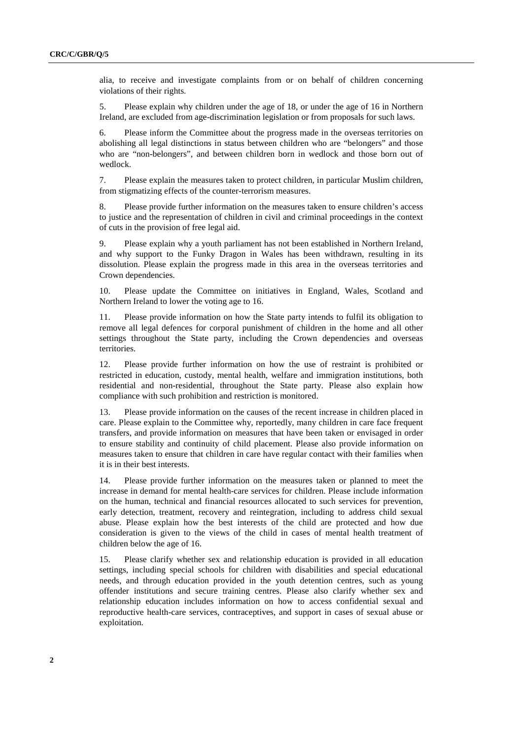alia, to receive and investigate complaints from or on behalf of children concerning violations of their rights.

5. Please explain why children under the age of 18, or under the age of 16 in Northern Ireland, are excluded from age-discrimination legislation or from proposals for such laws.

6. Please inform the Committee about the progress made in the overseas territories on abolishing all legal distinctions in status between children who are "belongers" and those who are "non-belongers", and between children born in wedlock and those born out of wedlock.

7. Please explain the measures taken to protect children, in particular Muslim children, from stigmatizing effects of the counter-terrorism measures.

8. Please provide further information on the measures taken to ensure children's access to justice and the representation of children in civil and criminal proceedings in the context of cuts in the provision of free legal aid.

9. Please explain why a youth parliament has not been established in Northern Ireland, and why support to the Funky Dragon in Wales has been withdrawn, resulting in its dissolution. Please explain the progress made in this area in the overseas territories and Crown dependencies.

10. Please update the Committee on initiatives in England, Wales, Scotland and Northern Ireland to lower the voting age to 16.

11. Please provide information on how the State party intends to fulfil its obligation to remove all legal defences for corporal punishment of children in the home and all other settings throughout the State party, including the Crown dependencies and overseas territories.

12. Please provide further information on how the use of restraint is prohibited or restricted in education, custody, mental health, welfare and immigration institutions, both residential and non-residential, throughout the State party. Please also explain how compliance with such prohibition and restriction is monitored.

13. Please provide information on the causes of the recent increase in children placed in care. Please explain to the Committee why, reportedly, many children in care face frequent transfers, and provide information on measures that have been taken or envisaged in order to ensure stability and continuity of child placement. Please also provide information on measures taken to ensure that children in care have regular contact with their families when it is in their best interests.

14. Please provide further information on the measures taken or planned to meet the increase in demand for mental health-care services for children. Please include information on the human, technical and financial resources allocated to such services for prevention, early detection, treatment, recovery and reintegration, including to address child sexual abuse. Please explain how the best interests of the child are protected and how due consideration is given to the views of the child in cases of mental health treatment of children below the age of 16.

15. Please clarify whether sex and relationship education is provided in all education settings, including special schools for children with disabilities and special educational needs, and through education provided in the youth detention centres, such as young offender institutions and secure training centres. Please also clarify whether sex and relationship education includes information on how to access confidential sexual and reproductive health-care services, contraceptives, and support in cases of sexual abuse or exploitation.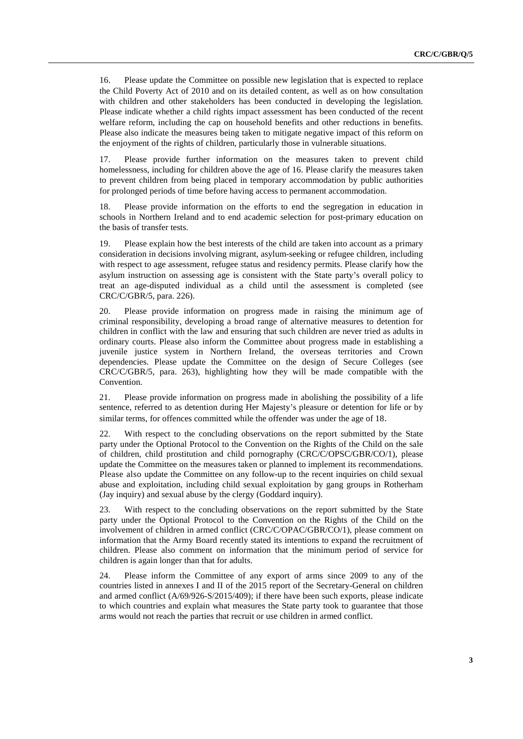16. Please update the Committee on possible new legislation that is expected to replace the Child Poverty Act of 2010 and on its detailed content, as well as on how consultation with children and other stakeholders has been conducted in developing the legislation. Please indicate whether a child rights impact assessment has been conducted of the recent welfare reform, including the cap on household benefits and other reductions in benefits. Please also indicate the measures being taken to mitigate negative impact of this reform on the enjoyment of the rights of children, particularly those in vulnerable situations.

17. Please provide further information on the measures taken to prevent child homelessness, including for children above the age of 16. Please clarify the measures taken to prevent children from being placed in temporary accommodation by public authorities for prolonged periods of time before having access to permanent accommodation.

18. Please provide information on the efforts to end the segregation in education in schools in Northern Ireland and to end academic selection for post-primary education on the basis of transfer tests.

19. Please explain how the best interests of the child are taken into account as a primary consideration in decisions involving migrant, asylum-seeking or refugee children, including with respect to age assessment, refugee status and residency permits. Please clarify how the asylum instruction on assessing age is consistent with the State party's overall policy to treat an age-disputed individual as a child until the assessment is completed (see CRC/C/GBR/5, para. 226).

20. Please provide information on progress made in raising the minimum age of criminal responsibility, developing a broad range of alternative measures to detention for children in conflict with the law and ensuring that such children are never tried as adults in ordinary courts. Please also inform the Committee about progress made in establishing a juvenile justice system in Northern Ireland, the overseas territories and Crown dependencies. Please update the Committee on the design of Secure Colleges (see CRC/C/GBR/5, para. 263), highlighting how they will be made compatible with the Convention.

21. Please provide information on progress made in abolishing the possibility of a life sentence, referred to as detention during Her Majesty's pleasure or detention for life or by similar terms, for offences committed while the offender was under the age of 18.

22. With respect to the concluding observations on the report submitted by the State party under the Optional Protocol to the Convention on the Rights of the Child on the sale of children, child prostitution and child pornography (CRC/C/OPSC/GBR/CO/1), please update the Committee on the measures taken or planned to implement its recommendations. Please also update the Committee on any follow-up to the recent inquiries on child sexual abuse and exploitation, including child sexual exploitation by gang groups in Rotherham (Jay inquiry) and sexual abuse by the clergy (Goddard inquiry).

23. With respect to the concluding observations on the report submitted by the State party under the Optional Protocol to the Convention on the Rights of the Child on the involvement of children in armed conflict (CRC/C/OPAC/GBR/CO/1), please comment on information that the Army Board recently stated its intentions to expand the recruitment of children. Please also comment on information that the minimum period of service for children is again longer than that for adults.

24. Please inform the Committee of any export of arms since 2009 to any of the countries listed in annexes I and II of the 2015 report of the Secretary-General on children and armed conflict (A/69/926-S/2015/409); if there have been such exports, please indicate to which countries and explain what measures the State party took to guarantee that those arms would not reach the parties that recruit or use children in armed conflict.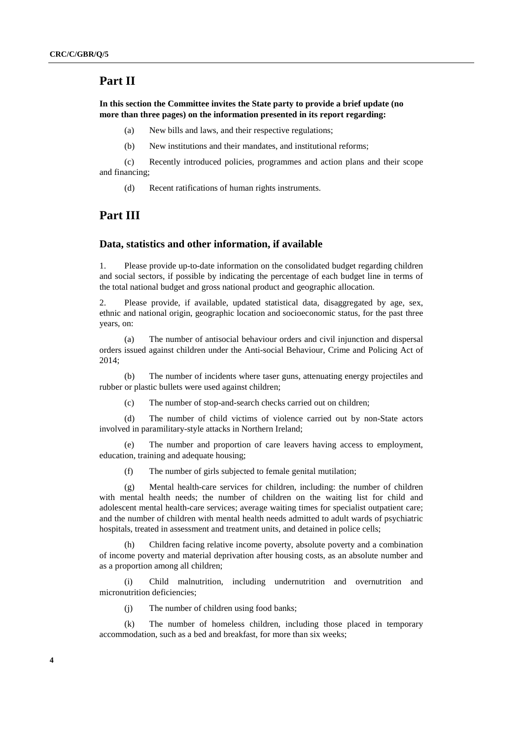### **Part II**

**In this section the Committee invites the State party to provide a brief update (no more than three pages) on the information presented in its report regarding:**

(a) New bills and laws, and their respective regulations;

(b) New institutions and their mandates, and institutional reforms;

(c) Recently introduced policies, programmes and action plans and their scope and financing;

(d) Recent ratifications of human rights instruments.

## **Part III**

### **Data, statistics and other information, if available**

1. Please provide up-to-date information on the consolidated budget regarding children and social sectors, if possible by indicating the percentage of each budget line in terms of the total national budget and gross national product and geographic allocation.

2. Please provide, if available, updated statistical data, disaggregated by age, sex, ethnic and national origin, geographic location and socioeconomic status, for the past three years, on:

(a) The number of antisocial behaviour orders and civil injunction and dispersal orders issued against children under the Anti-social Behaviour, Crime and Policing Act of 2014;

(b) The number of incidents where taser guns, attenuating energy projectiles and rubber or plastic bullets were used against children;

(c) The number of stop-and-search checks carried out on children;

(d) The number of child victims of violence carried out by non-State actors involved in paramilitary-style attacks in Northern Ireland;

(e) The number and proportion of care leavers having access to employment, education, training and adequate housing;

(f) The number of girls subjected to female genital mutilation;

(g) Mental health-care services for children, including: the number of children with mental health needs; the number of children on the waiting list for child and adolescent mental health-care services; average waiting times for specialist outpatient care; and the number of children with mental health needs admitted to adult wards of psychiatric hospitals, treated in assessment and treatment units, and detained in police cells;

(h) Children facing relative income poverty, absolute poverty and a combination of income poverty and material deprivation after housing costs, as an absolute number and as a proportion among all children;

(i) Child malnutrition, including undernutrition and overnutrition and micronutrition deficiencies;

(j) The number of children using food banks;

(k) The number of homeless children, including those placed in temporary accommodation, such as a bed and breakfast, for more than six weeks;